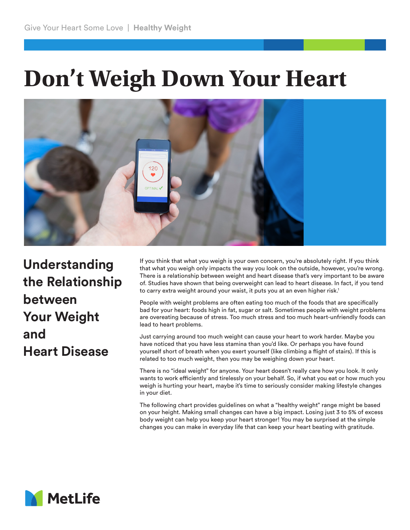## **Don't Weigh Down Your Heart**



**Understanding the Relationship between Your Weight and Heart Disease**

If you think that what you weigh is your own concern, you're absolutely right. If you think that what you weigh only impacts the way you look on the outside, however, you're wrong. There is a relationship between weight and heart disease that's very important to be aware of. Studies have shown that being overweight can lead to heart disease. In fact, if you tend to carry extra weight around your waist, it puts you at an even higher risk.<sup>1</sup>

People with weight problems are often eating too much of the foods that are specifically bad for your heart: foods high in fat, sugar or salt. Sometimes people with weight problems are overeating because of stress. Too much stress and too much heart-unfriendly foods can lead to heart problems.

Just carrying around too much weight can cause your heart to work harder. Maybe you have noticed that you have less stamina than you'd like. Or perhaps you have found yourself short of breath when you exert yourself (like climbing a flight of stairs). If this is related to too much weight, then you may be weighing down your heart.

There is no "ideal weight" for anyone. Your heart doesn't really care how you look. It only wants to work efficiently and tirelessly on your behalf. So, if what you eat or how much you weigh is hurting your heart, maybe it's time to seriously consider making lifestyle changes in your diet.

The following chart provides guidelines on what a "healthy weight" range might be based on your height. Making small changes can have a big impact. Losing just 3 to 5% of excess body weight can help you keep your heart stronger! You may be surprised at the simple changes you can make in everyday life that can keep your heart beating with gratitude.